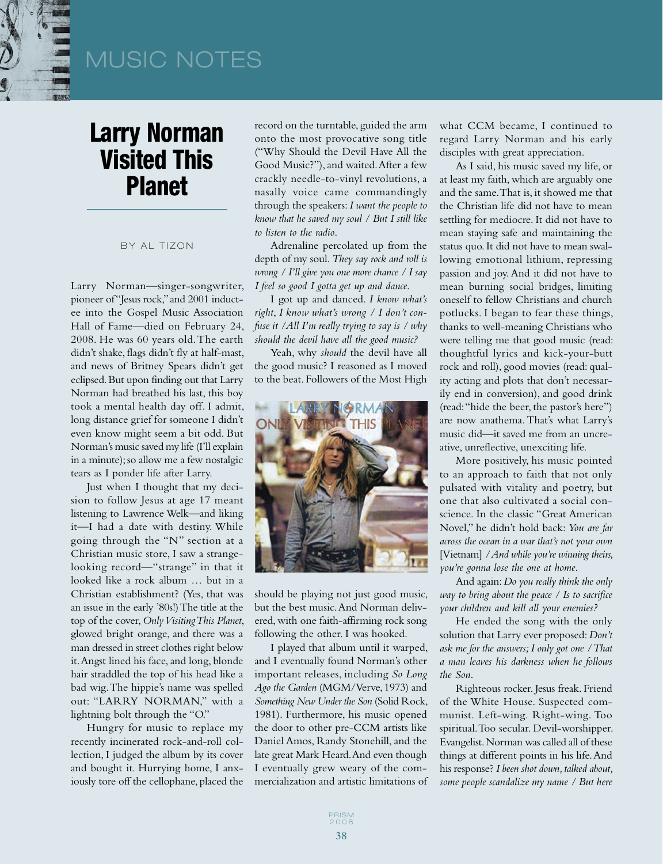

## MUSIC NOTES

## Larry Norman Visited This Planet

BY AL TIZON

Larry Norman—singer-songwriter, pioneer of "Jesus rock," and 2001 inductee into the Gospel Music Association Hall of Fame—died on February 24, 2008. He was 60 years old. The earth didn't shake, flags didn't fly at half-mast, and news of Britney Spears didn't get eclipsed. But upon finding out that Larry Norman had breathed his last, this boy took a mental health day off. I admit, long distance grief for someone I didn't even know might seem a bit odd. But Norman's music saved my life (I'll explain in a minute); so allow me a few nostalgic tears as I ponder life after Larry.

Just when I thought that my decision to follow Jesus at age 17 meant listening to Lawrence Welk—and liking it—I had a date with destiny. While going through the "N" section at a Christian music store, I saw a strangelooking record—"strange" in that it looked like a rock album … but in a Christian establishment? (Yes, that was an issue in the early '80s!) The title at the top of the cover, *Only Visiting This Planet*, glowed bright orange, and there was a man dressed in street clothes right below it. Angst lined his face, and long, blonde hair straddled the top of his head like a bad wig. The hippie's name was spelled out: "LARRY NORMAN," with a lightning bolt through the "O."

Hungry for music to replace my recently incinerated rock-and-roll collection, I judged the album by its cover and bought it. Hurrying home, I anxiously tore off the cellophane, placed the

record on the turntable, guided the arm onto the most provocative song title ("Why Should the Devil Have All the Good Music?"), and waited. After a few crackly needle-to-vinyl revolutions, a nasally voice came commandingly through the speakers: *I want the people to know that he saved my soul / But I still like to listen to the radio*.

Adrenaline percolated up from the depth of my soul. *They say rock and roll is wrong / I'll give you one more chance / I say I feel so good I gotta get up and dance*.

I got up and danced. *I know what's right*, *I know what's wrong / I don't confuse it /All I'm really trying to say is / why should the devil have all the good music?*

Yeah, why *should* the devil have all the good music? I reasoned as I moved to the beat. Followers of the Most High



should be playing not just good music, but the best music. And Norman delivered, with one faith-affirming rock song following the other. I was hooked.

I played that album until it warped, and I eventually found Norman's other important releases, including *So Long Ago the Garden* (MGM/Verve, 1973) and *Something New Under the Son* (Solid Rock, 1981). Furthermore, his music opened the door to other pre-CCM artists like Daniel Amos, Randy Stonehill, and the late great Mark Heard. And even though I eventually grew weary of the commercialization and artistic limitations of what CCM became, I continued to regard Larry Norman and his early disciples with great appreciation.

As I said, his music saved my life, or at least my faith, which are arguably one and the same. That is, it showed me that the Christian life did not have to mean settling for mediocre. It did not have to mean staying safe and maintaining the status quo. It did not have to mean swallowing emotional lithium, repressing passion and joy. And it did not have to mean burning social bridges, limiting oneself to fellow Christians and church potlucks. I began to fear these things, thanks to well-meaning Christians who were telling me that good music (read: thoughtful lyrics and kick-your-butt rock and roll), good movies (read: quality acting and plots that don't necessarily end in conversion), and good drink (read: "hide the beer, the pastor's here") are now anathema. That's what Larry's music did—it saved me from an uncreative, unreflective, unexciting life.

More positively, his music pointed to an approach to faith that not only pulsated with vitality and poetry, but one that also cultivated a social conscience. In the classic "Great American Novel," he didn't hold back: *You are far across the ocean in a war that's not your own*  [Vietnam] */ And while you're winning theirs, you're gonna lose the one at home*.

And again: *Do you really think the only way to bring about the peace / Is to sacrifice your children and kill all your enemies?*

He ended the song with the only solution that Larry ever proposed: *Don't ask me for the answers; I only got one / That a man leaves his darkness when he follows the Son*.

Righteous rocker. Jesus freak. Friend of the White House. Suspected communist. Left-wing. Right-wing. Too spiritual. Too secular. Devil-worshipper. Evangelist. Norman was called all of these things at different points in his life. And his response? *I been shot down, talked about, some people scandalize my name / But here*